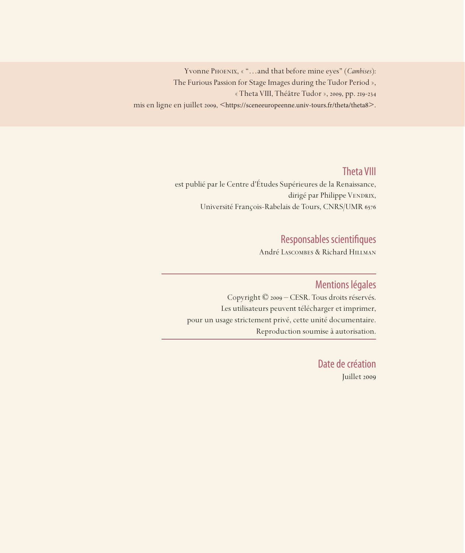Yvonne Phoenix, «"…and that before mine eyes" (*Cambises*): The Furious Passion for Stage Images during the Tudor Period », « Theta VIII, Théâtre Tudor », 2009, pp. 219-234 mis en ligne en juillet 2009, <https://sceneeuropeenne.univ-tours.fr/theta/theta8>.

## Theta VIII

est publié par le Centre d'Études Supérieures de la Renaissance, dirigé par Philippe VENDRIX, Université François-Rabelais de Tours, CNRS/UMR 6576

# Responsables scientifiques

André Lascombes & Richard Hillman

### Mentions légales

Copyright © 2009 – CESR. Tous droits réservés. Les utilisateurs peuvent télécharger et imprimer, pour un usage strictement privé, cette unité documentaire. Reproduction soumise à autorisation.

> Date de création Juillet 2009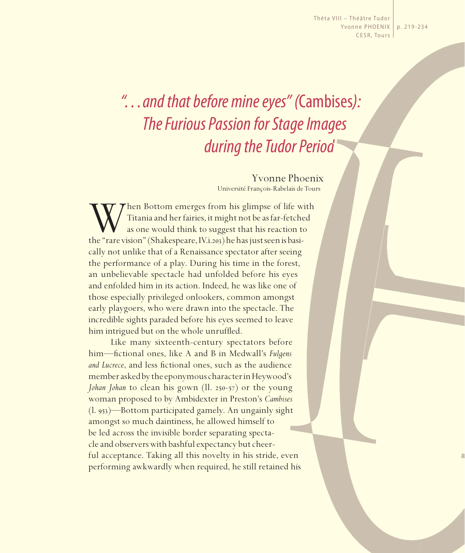Thêta VIII – Théâtre Tudor Yvonne PHOENIX | p. 219-234 CESR, Tours

# *"…and that before mine eyes" (*Cambises*): The Furious Passion for Stage Images during the Tudor Period*

Yvonne Phoenix Université François-Rabelais de Tours

When Bottom emerges from his glimpse of life with Titania and her fairies, it might not be as far-fetched as one would think to suggest that his reaction to the "rare vision" (Shakespeare, IV.i.203) he has just seen is bas Titania and her fairies, it might not be as far-fetched as one would think to suggest that his reaction to cally not unlike that of a Renaissance spectator after seeing the performance of a play. During his time in the forest, an unbelievable spectacle had unfolded before his eyes and enfolded him in its action. Indeed, he was like one of those especially privileged onlookers, common amongst early playgoers, who were drawn into the spectacle. The incredible sights paraded before his eyes seemed to leave him intrigued but on the whole unruffled.

Like many sixteenth-century spectators before him—fi ctional ones, like A and B in Medwall's *Fulgens and Lucrece*, and less fictional ones, such as the audience member asked by the eponymous character in Heywood's *Johan Johan* to clean his gown (ll. 250-57) or the young woman proposed to by Ambidexter in Preston's *Cambises* (l. 953)—Bottom participated gamely. An ungainly sight amongst so much daintiness, he allowed himself to be led across the invisible border separating spectacle and observers with bashful expectancy but cheerful acceptance. Taking all this novelty in his stride, even performing awkwardly when required, he still retained his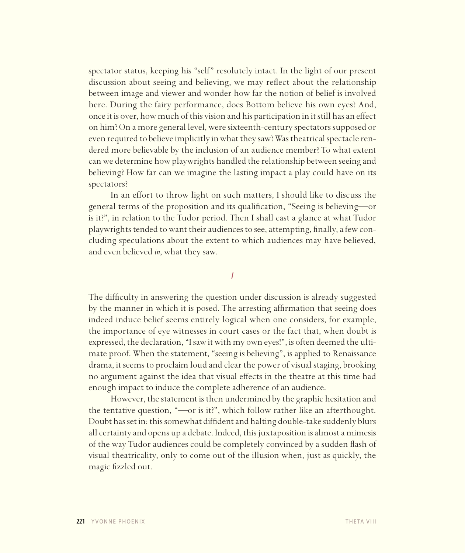spectator status, keeping his "self" resolutely intact. In the light of our present discussion about seeing and believing, we may reflect about the relationship between image and viewer and wonder how far the notion of belief is involved here. During the fairy performance, does Bottom believe his own eyes? And, once it is over, how much of this vision and his participation in it still has an effect on him? On a more general level, were sixteenth-century spectators supposed or even required to believe implicitly in what they saw? Was theatrical spectacle rendered more believable by the inclusion of an audience member? To what extent can we determine how playwrights handled the relationship between seeing and believing? How far can we imagine the lasting impact a play could have on its spectators?

In an effort to throw light on such matters, I should like to discuss the general terms of the proposition and its qualification, "Seeing is believing—or is it?", in relation to the Tudor period. Then I shall cast a glance at what Tudor playwrights tended to want their audiences to see, attempting, finally, a few concluding speculations about the extent to which audiences may have believed, and even believed *in*, what they saw.

*I*

The difficulty in answering the question under discussion is already suggested by the manner in which it is posed. The arresting affirmation that seeing does indeed induce belief seems entirely logical when one considers, for example, the importance of eye witnesses in court cases or the fact that, when doubt is expressed, the declaration, "I saw it with my own eyes!", is often deemed the ultimate proof. When the statement, "seeing is believing", is applied to Renaissance drama, it seems to proclaim loud and clear the power of visual staging, brooking no argument against the idea that visual effects in the theatre at this time had enough impact to induce the complete adherence of an audience.

However, the statement is then undermined by the graphic hesitation and the tentative question, "—or is it?", which follow rather like an afterthought. Doubt has set in: this somewhat diffident and halting double-take suddenly blurs all certainty and opens up a debate. Indeed, this juxtaposition is almost a mimesis of the way Tudor audiences could be completely convinced by a sudden flash of visual theatricality, only to come out of the illusion when, just as quickly, the magic fizzled out.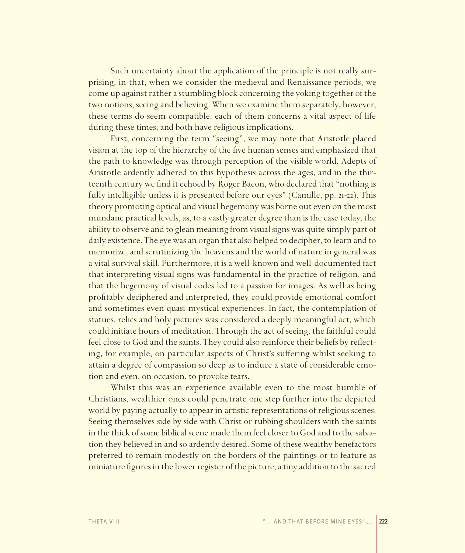Such uncertainty about the application of the principle is not really surprising, in that, when we consider the medieval and Renaissance periods, we come up against rather a stumbling block concerning the yoking together of the two notions, seeing and believing. When we examine them separately, however, these terms do seem compatible: each of them concerns a vital aspect of life during these times, and both have religious implications.

First, concerning the term "seeing", we may note that Aristotle placed vision at the top of the hierarchy of the five human senses and emphasized that the path to knowledge was through perception of the visible world. Adepts of Aristotle ardently adhered to this hypothesis across the ages, and in the thirteenth century we find it echoed by Roger Bacon, who declared that "nothing is fully intelligible unless it is presented before our eyes" (Camille, pp. 21-22). This theory promoting optical and visual hegemony was borne out even on the most mundane practical levels, as, to a vastly greater degree than is the case today, the ability to observe and to glean meaning from visual signs was quite simply part of daily existence. The eye was an organ that also helped to decipher, to learn and to memorize, and scrutinizing the heavens and the world of nature in general was a vital survival skill. Furthermore, it is a well-known and well-documented fact that interpreting visual signs was fundamental in the practice of religion, and that the hegemony of visual codes led to a passion for images. As well as being profitably deciphered and interpreted, they could provide emotional comfort and sometimes even quasi-mystical experiences. In fact, the contemplation of statues, relics and holy pictures was considered a deeply meaningful act, which could initiate hours of meditation. Through the act of seeing, the faithful could feel close to God and the saints. They could also reinforce their beliefs by reflecting, for example, on particular aspects of Christ's suffering whilst seeking to attain a degree of compassion so deep as to induce a state of considerable emotion and even, on occasion, to provoke tears.

Whilst this was an experience available even to the most humble of Christians, wealthier ones could penetrate one step further into the depicted world by paying actually to appear in artistic representations of religious scenes. Seeing themselves side by side with Christ or rubbing shoulders with the saints in the thick of some biblical scene made them feel closer to God and to the salvation they believed in and so ardently desired. Some of these wealthy benefactors preferred to remain modestly on the borders of the paintings or to feature as miniature figures in the lower register of the picture, a tiny addition to the sacred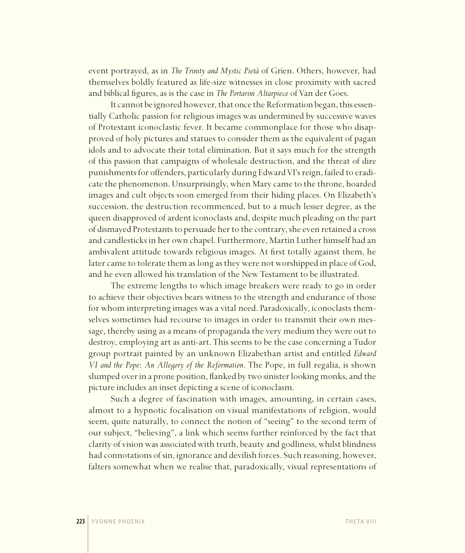event portrayed, as in *The Trinity and Mystic Pietà* of Grien. Others, however, had themselves boldly featured as life-size witnesses in close proximity with sacred and biblical figures, as is the case in *The Portarini Altarpiece* of Van der Goes.

It cannot be ignored however, that once the Reformation began, this essentially Catholic passion for religious images was undermined by successive waves of Protestant iconoclastic fever. It became commonplace for those who disapproved of holy pictures and statues to consider them as the equivalent of pagan idols and to advocate their total elimination. But it says much for the strength of this passion that campaigns of wholesale destruction, and the threat of dire punishments for offenders, particularly during Edward VI's reign, failed to eradicate the phenomenon. Unsurprisingly, when Mary came to the throne, hoarded images and cult objects soon emerged from their hiding places. On Elizabeth's succession, the destruction recommenced, but to a much lesser degree, as the queen disapproved of ardent iconoclasts and, despite much pleading on the part of dismayed Protestants to persuade her to the contrary, she even retained a cross and candlesticks in her own chapel. Furthermore, Martin Luther himself had an ambivalent attitude towards religious images. At first totally against them, he later came to tolerate them as long as they were not worshipped in place of God, and he even allowed his translation of the New Testament to be illustrated.

The extreme lengths to which image breakers were ready to go in order to achieve their objectives bears witness to the strength and endurance of those for whom interpreting images was a vital need. Paradoxically, iconoclasts themselves sometimes had recourse to images in order to transmit their own message, thereby using as a means of propaganda the very medium they were out to destroy, employing art as anti-art. This seems to be the case concerning a Tudor group portrait painted by an unknown Elizabethan artist and entitled *Edward VI and the Pope*: *An Allegory of the Reformation*. The Pope, in full regalia, is shown slumped over in a prone position, flanked by two sinister looking monks, and the picture includes an inset depicting a scene of iconoclasm.

Such a degree of fascination with images, amounting, in certain cases, almost to a hypnotic focalisation on visual manifestations of religion, would seem, quite naturally, to connect the notion of "seeing" to the second term of our subject, "believing", a link which seems further reinforced by the fact that clarity of vision was associated with truth, beauty and godliness, whilst blindness had connotations of sin, ignorance and devilish forces. Such reasoning, however, falters somewhat when we realise that, paradoxically, visual representations of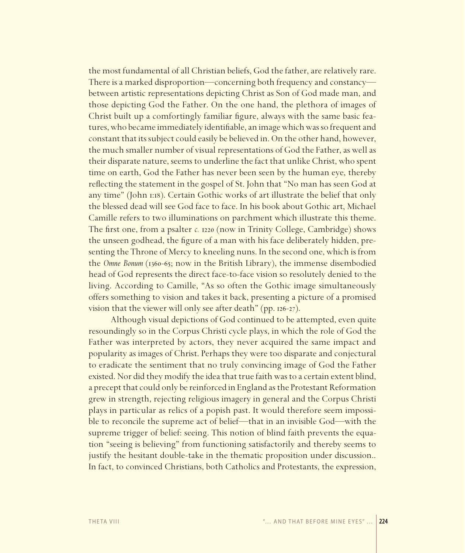the most fundamental of all Christian beliefs, God the father, are relatively rare. There is a marked disproportion—concerning both frequency and constancy between artistic representations depicting Christ as Son of God made man, and those depicting God the Father. On the one hand, the plethora of images of Christ built up a comfortingly familiar figure, always with the same basic features, who became immediately identifiable, an image which was so frequent and constant that its subject could easily be believed in. On the other hand, however, the much smaller number of visual representations of God the Father, as well as their disparate nature, seems to underline the fact that unlike Christ, who spent time on earth, God the Father has never been seen by the human eye, thereby reflecting the statement in the gospel of St. John that "No man has seen God at any time" (John 1:18). Certain Gothic works of art illustrate the belief that only the blessed dead will see God face to face. In his book about Gothic art, Michael Camille refers to two illuminations on parchment which illustrate this theme. The first one, from a psalter *c.* 1220 (now in Trinity College, Cambridge) shows the unseen godhead, the figure of a man with his face deliberately hidden, presenting the Throne of Mercy to kneeling nuns. In the second one, which is from the *Omne Bonum* (1360-65; now in the British Library), the immense disembodied head of God represents the direct face-to-face vision so resolutely denied to the living. According to Camille, "As so often the Gothic image simultaneously offers something to vision and takes it back, presenting a picture of a promised vision that the viewer will only see after death" (pp. 126-27).

Although visual depictions of God continued to be attempted, even quite resoundingly so in the Corpus Christi cycle plays, in which the role of God the Father was interpreted by actors, they never acquired the same impact and popularity as images of Christ. Perhaps they were too disparate and conjectural to eradicate the sentiment that no truly convincing image of God the Father existed. Nor did they modify the idea that true faith was to a certain extent blind, a precept that could only be reinforced in England as the Protestant Reformation grew in strength, rejecting religious imagery in general and the Corpus Christi plays in particular as relics of a popish past. It would therefore seem impossible to reconcile the supreme act of belief—that in an invisible God—with the supreme trigger of belief: seeing. This notion of blind faith prevents the equation "seeing is believing" from functioning satisfactorily and thereby seems to justify the hesitant double-take in the thematic proposition under discussion.. In fact, to convinced Christians, both Catholics and Protestants, the expression,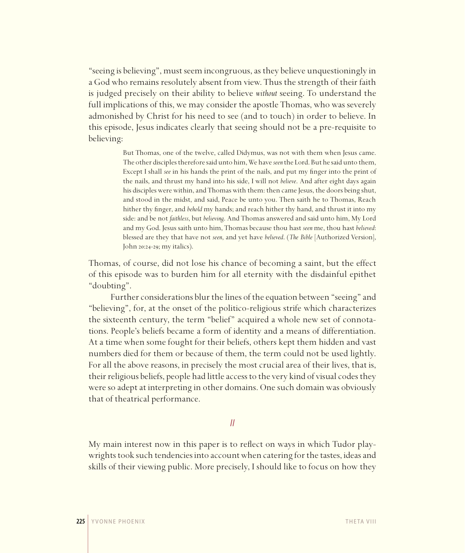"seeing is believing", must seem incongruous, as they believe unquestioningly in a God who remains resolutely absent from view. Thus the strength of their faith is judged precisely on their ability to believe *without* seeing. To understand the full implications of this, we may consider the apostle Thomas, who was severely admonished by Christ for his need to see (and to touch) in order to believe. In this episode, Jesus indicates clearly that seeing should not be a pre-requisite to believing:

> But Thomas, one of the twelve, called Didymus, was not with them when Jesus came. The other disciples therefore said unto him, We have *seen* the Lord. But he said unto them, Except I shall *see* in his hands the print of the nails, and put my finger into the print of the nails, and thrust my hand into his side, I will not *believe*. And after eight days again his disciples were within, and Thomas with them: then came Jesus, the doors being shut, and stood in the midst, and said, Peace be unto you. Then saith he to Thomas, Reach hither thy finger, and *behold* my hands; and reach hither thy hand, and thrust it into my side: and be not *faithless*, but *believing*. And Thomas answered and said unto him, My Lord and my God. Jesus saith unto him, Thomas because thou hast *seen* me, thou hast *believed*: blessed are they that have not *seen*, and yet have *believed*. (*The Bible* [Authorized Version], John 20:24-29; my italics).

Thomas, of course, did not lose his chance of becoming a saint, but the effect of this episode was to burden him for all eternity with the disdainful epithet "doubting".

Further considerations blur the lines of the equation between "seeing" and "believing", for, at the onset of the politico-religious strife which characterizes the sixteenth century, the term "belief" acquired a whole new set of connotations. People's beliefs became a form of identity and a means of differentiation. At a time when some fought for their beliefs, others kept them hidden and vast numbers died for them or because of them, the term could not be used lightly. For all the above reasons, in precisely the most crucial area of their lives, that is, their religious beliefs, people had little access to the very kind of visual codes they were so adept at interpreting in other domains. One such domain was obviously that of theatrical performance.

*II*

My main interest now in this paper is to reflect on ways in which Tudor playwrights took such tendencies into account when catering for the tastes, ideas and skills of their viewing public. More precisely, I should like to focus on how they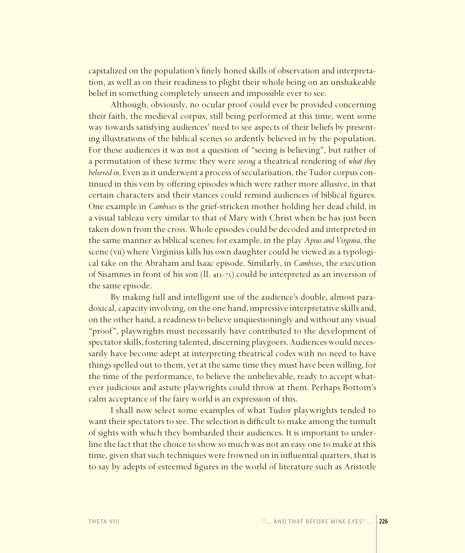capitalized on the population's finely honed skills of observation and interpretation, as well as on their readiness to plight their whole being on an unshakeable belief in something completely unseen and impossible ever to see.

Although, obviously, no ocular proof could ever be provided concerning their faith, the medieval corpus, still being performed at this time, went some way towards satisfying audiences' need to see aspects of their beliefs by presenting illustrations of the biblical scenes so ardently believed in by the population. For these audiences it was not a question of "seeing is believing", but rather of a permutation of these terms: they were *seeing* a theatrical rendering of *what they believed in*. Even as it underwent a process of secularisation, the Tudor corpus continued in this vein by offering episodes which were rather more allusive, in that certain characters and their stances could remind audiences of biblical figures. One example in *Cambises* is the grief-stricken mother holding her dead child, in a visual tableau very similar to that of Mary with Christ when he has just been taken down from the cross. Whole episodes could be decoded and interpreted in the same manner as biblical scenes: for example, in the play *Apius and Virginia*, the scene (vii) where Virginius kills his own daughter could be viewed as a typological take on the Abraham and Isaac episode. Similarly, in *Cambises*, the execution of Sisamnes in front of his son (ll. 413-73) could be interpreted as an inversion of the same episode.

By making full and intelligent use of the audience's double, almost paradoxical, capacity involving, on the one hand, impressive interpretative skills and, on the other hand, a readiness to believe unquestioningly and without any visual "proof", playwrights must necessarily have contributed to the development of spectator skills, fostering talented, discerning playgoers. Audiences would necessarily have become adept at interpreting theatrical codes with no need to have things spelled out to them, yet at the same time they must have been willing, for the time of the performance, to believe the unbelievable, ready to accept whatever judicious and astute playwrights could throw at them. Perhaps Bottom's calm acceptance of the fairy world is an expression of this.

I shall now select some examples of what Tudor playwrights tended to want their spectators to see. The selection is difficult to make among the tumult of sights with which they bombarded their audiences. It is important to underline the fact that the choice to show so much was not an easy one to make at this time, given that such techniques were frowned on in influential quarters, that is to say by adepts of esteemed figures in the world of literature such as Aristotle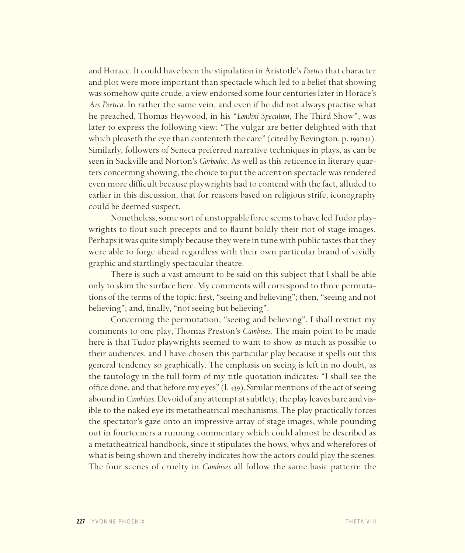and Horace. It could have been the stipulation in Aristotle's *Poetics* that character and plot were more important than spectacle which led to a belief that showing was somehow quite crude, a view endorsed some four centuries later in Horace's *Ars Poetica*. In rather the same vein, and even if he did not always practise what he preached, Thomas Heywood, in his "*Londini Speculum*, The Third Show", was later to express the following view: "The vulgar are better delighted with that which pleaseth the eye than contenteth the care" (cited by Bevington, p. 199n32). Similarly, followers of Seneca preferred narrative techniques in plays, as can be seen in Sackville and Norton's *Gorboduc*. As well as this reticence in literary quarters concerning showing, the choice to put the accent on spectacle was rendered even more difficult because playwrights had to contend with the fact, alluded to earlier in this discussion, that for reasons based on religious strife, iconography could be deemed suspect.

Nonetheless, some sort of unstoppable force seems to have led Tudor playwrights to flout such precepts and to flaunt boldly their riot of stage images. Perhaps it was quite simply because they were in tune with public tastes that they were able to forge ahead regardless with their own particular brand of vividly graphic and startlingly spectacular theatre.

There is such a vast amount to be said on this subject that I shall be able only to skim the surface here. My comments will correspond to three permutations of the terms of the topic: first, "seeing and believing"; then, "seeing and not believing"; and, finally, "not seeing but believing".

Concerning the permutation, "seeing and believing", I shall restrict my comments to one play, Thomas Preston's *Cambises*. The main point to be made here is that Tudor playwrights seemed to want to show as much as possible to their audiences, and I have chosen this particular play because it spells out this general tendency so graphically. The emphasis on seeing is left in no doubt, as the tautology in the full form of my title quotation indicates: "I shall see the office done, and that before my eyes" (l. 439). Similar mentions of the act of seeing abound in *Cambises*. Devoid of any attempt at subtlety, the play leaves bare and visible to the naked eye its metatheatrical mechanisms. The play practically forces the spectator's gaze onto an impressive array of stage images, while pounding out in fourteeners a running commentary which could almost be described as a metatheatrical handbook, since it stipulates the hows, whys and wherefores of what is being shown and thereby indicates how the actors could play the scenes. The four scenes of cruelty in *Cambises* all follow the same basic pattern: the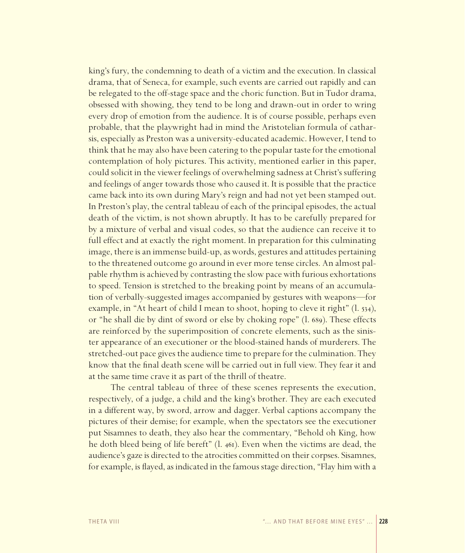king's fury, the condemning to death of a victim and the execution. In classical drama, that of Seneca, for example, such events are carried out rapidly and can be relegated to the off-stage space and the choric function. But in Tudor drama, obsessed with showing, they tend to be long and drawn-out in order to wring every drop of emotion from the audience. It is of course possible, perhaps even probable, that the playwright had in mind the Aristotelian formula of catharsis, especially as Preston was a university-educated academic. However, I tend to think that he may also have been catering to the popular taste for the emotional contemplation of holy pictures. This activity, mentioned earlier in this paper, could solicit in the viewer feelings of overwhelming sadness at Christ's suffering and feelings of anger towards those who caused it. It is possible that the practice came back into its own during Mary's reign and had not yet been stamped out. In Preston's play, the central tableau of each of the principal episodes, the actual death of the victim, is not shown abruptly. It has to be carefully prepared for by a mixture of verbal and visual codes, so that the audience can receive it to full effect and at exactly the right moment. In preparation for this culminating image, there is an immense build-up, as words, gestures and attitudes pertaining to the threatened outcome go around in ever more tense circles. An almost palpable rhythm is achieved by contrasting the slow pace with furious exhortations to speed. Tension is stretched to the breaking point by means of an accumulation of verbally-suggested images accompanied by gestures with weapons—for example, in "At heart of child I mean to shoot, hoping to cleve it right" (l. 534), or "he shall die by dint of sword or else by choking rope" (l. 689). These effects are reinforced by the superimposition of concrete elements, such as the sinister appearance of an executioner or the blood-stained hands of murderers. The stretched-out pace gives the audience time to prepare for the culmination. They know that the final death scene will be carried out in full view. They fear it and at the same time crave it as part of the thrill of theatre.

The central tableau of three of these scenes represents the execution, respectively, of a judge, a child and the king's brother. They are each executed in a different way, by sword, arrow and dagger. Verbal captions accompany the pictures of their demise; for example, when the spectators see the executioner put Sisamnes to death, they also hear the commentary, "Behold oh King, how he doth bleed being of life bereft" (l. 461). Even when the victims are dead, the audience's gaze is directed to the atrocities committed on their corpses. Sisamnes, for example, is flayed, as indicated in the famous stage direction, "Flay him with a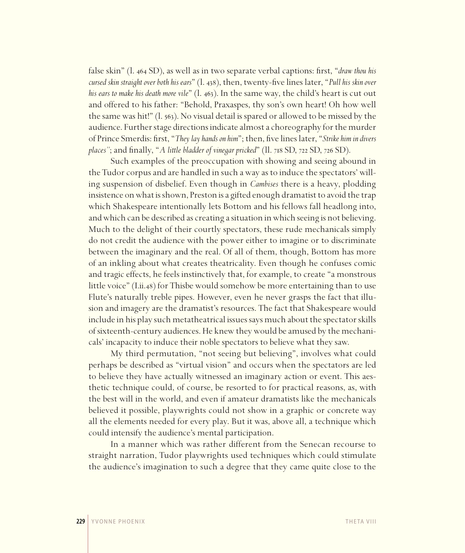false skin" (l. 464 SD), as well as in two separate verbal captions: first, "*draw thou his cursed skin straight over both his ears*" (l. 438), then, twenty-five lines later, "*Pull his skin over his ears to make his death more vile*" (l. 463). In the same way, the child's heart is cut out and offered to his father: "Behold, Praxaspes, thy son's own heart! Oh how well the same was hit!" (l. 563). No visual detail is spared or allowed to be missed by the audience. Further stage directions indicate almost a choreography for the murder of Prince Smerdis: first, "*They lay hands on him*"; then, five lines later, "*Strike him in divers places"*; and finally, "*A little bladder of vinegar pricked*" (ll. 718 SD, 722 SD, 726 SD).

Such examples of the preoccupation with showing and seeing abound in the Tudor corpus and are handled in such a way as to induce the spectators' willing suspension of disbelief. Even though in *Cambises* there is a heavy, plodding insistence on what is shown, Preston is a gifted enough dramatist to avoid the trap which Shakespeare intentionally lets Bottom and his fellows fall headlong into, and which can be described as creating a situation in which seeing is not believing. Much to the delight of their courtly spectators, these rude mechanicals simply do not credit the audience with the power either to imagine or to discriminate between the imaginary and the real. Of all of them, though, Bottom has more of an inkling about what creates theatricality. Even though he confuses comic and tragic effects, he feels instinctively that, for example, to create "a monstrous little voice" (I.ii.48) for Thisbe would somehow be more entertaining than to use Flute's naturally treble pipes. However, even he never grasps the fact that illusion and imagery are the dramatist's resources. The fact that Shakespeare would include in his play such metatheatrical issues says much about the spectator skills of sixteenth-century audiences. He knew they would be amused by the mechanicals' incapacity to induce their noble spectators to believe what they saw.

My third permutation, "not seeing but believing", involves what could perhaps be described as "virtual vision" and occurs when the spectators are led to believe they have actually witnessed an imaginary action or event. This aesthetic technique could, of course, be resorted to for practical reasons, as, with the best will in the world, and even if amateur dramatists like the mechanicals believed it possible, playwrights could not show in a graphic or concrete way all the elements needed for every play. But it was, above all, a technique which could intensify the audience's mental participation.

In a manner which was rather different from the Senecan recourse to straight narration, Tudor playwrights used techniques which could stimulate the audience's imagination to such a degree that they came quite close to the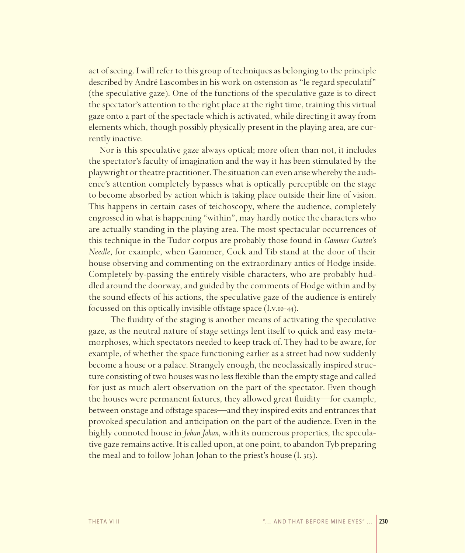act of seeing. I will refer to this group of techniques as belonging to the principle described by André Lascombes in his work on ostension as "le regard speculatif" (the speculative gaze). One of the functions of the speculative gaze is to direct the spectator's attention to the right place at the right time, training this virtual gaze onto a part of the spectacle which is activated, while directing it away from elements which, though possibly physically present in the playing area, are currently inactive.

Nor is this speculative gaze always optical; more often than not, it includes the spectator's faculty of imagination and the way it has been stimulated by the playwright or theatre practitioner. The situation can even arise whereby the audience's attention completely bypasses what is optically perceptible on the stage to become absorbed by action which is taking place outside their line of vision. This happens in certain cases of teichoscopy, where the audience, completely engrossed in what is happening "within", may hardly notice the characters who are actually standing in the playing area. The most spectacular occurrences of this technique in the Tudor corpus are probably those found in *Gammer Gurton's Needle*, for example, when Gammer, Cock and Tib stand at the door of their house observing and commenting on the extraordinary antics of Hodge inside. Completely by-passing the entirely visible characters, who are probably huddled around the doorway, and guided by the comments of Hodge within and by the sound effects of his actions, the speculative gaze of the audience is entirely focussed on this optically invisible offstage space (I.v.10-44).

The fluidity of the staging is another means of activating the speculative gaze, as the neutral nature of stage settings lent itself to quick and easy metamorphoses, which spectators needed to keep track of. They had to be aware, for example, of whether the space functioning earlier as a street had now suddenly become a house or a palace. Strangely enough, the neoclassically inspired structure consisting of two houses was no less flexible than the empty stage and called for just as much alert observation on the part of the spectator. Even though the houses were permanent fixtures, they allowed great fluidity—for example, between onstage and offstage spaces—and they inspired exits and entrances that provoked speculation and anticipation on the part of the audience. Even in the highly connoted house in *Johan Johan*, with its numerous properties, the speculative gaze remains active. It is called upon, at one point, to abandon Tyb preparing the meal and to follow Johan Johan to the priest's house (l. 313).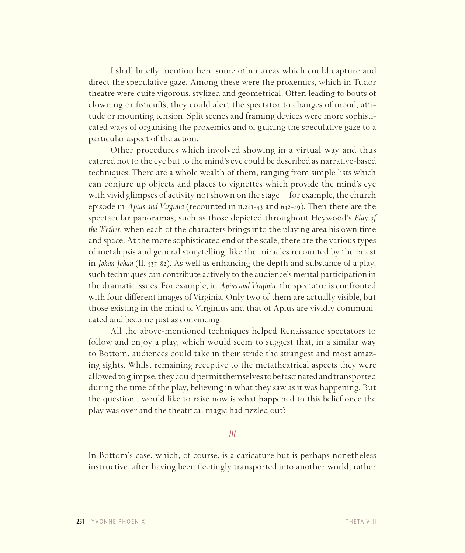I shall briefly mention here some other areas which could capture and direct the speculative gaze. Among these were the proxemics, which in Tudor theatre were quite vigorous, stylized and geometrical. Often leading to bouts of clowning or fisticuffs, they could alert the spectator to changes of mood, attitude or mounting tension. Split scenes and framing devices were more sophisticated ways of organising the proxemics and of guiding the speculative gaze to a particular aspect of the action.

Other procedures which involved showing in a virtual way and thus catered not to the eye but to the mind's eye could be described as narrative-based techniques. There are a whole wealth of them, ranging from simple lists which can conjure up objects and places to vignettes which provide the mind's eye with vivid glimpses of activity not shown on the stage—for example, the church episode in *Apius and Virginia* (recounted in ii.241-43 and 642-49). Then there are the spectacular panoramas, such as those depicted throughout Heywood's *Play of the Wether*, when each of the characters brings into the playing area his own time and space. At the more sophisticated end of the scale, there are the various types of metalepsis and general storytelling, like the miracles recounted by the priest in *Johan Johan* (ll. 537-82). As well as enhancing the depth and substance of a play, such techniques can contribute actively to the audience's mental participation in the dramatic issues. For example, in *Apius and Virginia*, the spectator is confronted with four different images of Virginia. Only two of them are actually visible, but those existing in the mind of Virginius and that of Apius are vividly communicated and become just as convincing.

All the above-mentioned techniques helped Renaissance spectators to follow and enjoy a play, which would seem to suggest that, in a similar way to Bottom, audiences could take in their stride the strangest and most amazing sights. Whilst remaining receptive to the metatheatrical aspects they were allowed to glimpse, they could permit themselves to be fascinated and transported during the time of the play, believing in what they saw as it was happening. But the question I would like to raise now is what happened to this belief once the play was over and the theatrical magic had fizzled out?

#### *III*

In Bottom's case, which, of course, is a caricature but is perhaps nonetheless instructive, after having been fleetingly transported into another world, rather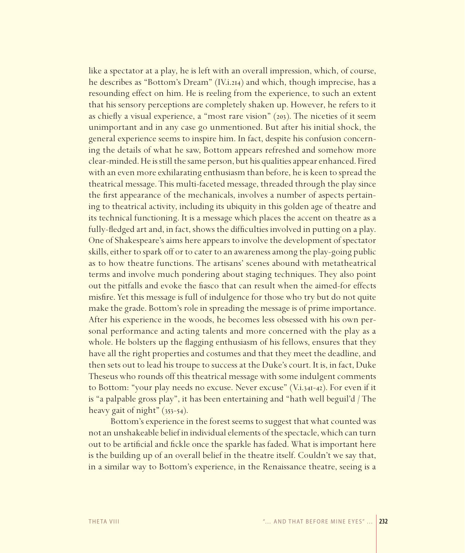like a spectator at a play, he is left with an overall impression, which, of course, he describes as "Bottom's Dream" (IV.i.214) and which, though imprecise, has a resounding effect on him. He is reeling from the experience, to such an extent that his sensory perceptions are completely shaken up. However, he refers to it as chiefly a visual experience, a "most rare vision"  $(203)$ . The niceties of it seem unimportant and in any case go unmentioned. But after his initial shock, the general experience seems to inspire him. In fact, despite his confusion concerning the details of what he saw, Bottom appears refreshed and somehow more clear-minded. He is still the same person, but his qualities appear enhanced. Fired with an even more exhilarating enthusiasm than before, he is keen to spread the theatrical message. This multi-faceted message, threaded through the play since the first appearance of the mechanicals, involves a number of aspects pertaining to theatrical activity, including its ubiquity in this golden age of theatre and its technical functioning. It is a message which places the accent on theatre as a fully-fledged art and, in fact, shows the difficulties involved in putting on a play. One of Shakespeare's aims here appears to involve the development of spectator skills, either to spark off or to cater to an awareness among the play-going public as to how theatre functions. The artisans' scenes abound with metatheatrical terms and involve much pondering about staging techniques. They also point out the pitfalls and evoke the fiasco that can result when the aimed-for effects misfire. Yet this message is full of indulgence for those who try but do not quite make the grade. Bottom's role in spreading the message is of prime importance. After his experience in the woods, he becomes less obsessed with his own personal performance and acting talents and more concerned with the play as a whole. He bolsters up the flagging enthusiasm of his fellows, ensures that they have all the right properties and costumes and that they meet the deadline, and then sets out to lead his troupe to success at the Duke's court. It is, in fact, Duke Theseus who rounds off this theatrical message with some indulgent comments to Bottom: "your play needs no excuse. Never excuse" (V.i.341-42). For even if it is "a palpable gross play", it has been entertaining and "hath well beguil'd / The heavy gait of night" (353-54).

Bottom's experience in the forest seems to suggest that what counted was not an unshakeable belief in individual elements of the spectacle, which can turn out to be artificial and fickle once the sparkle has faded. What is important here is the building up of an overall belief in the theatre itself. Couldn't we say that, in a similar way to Bottom's experience, in the Renaissance theatre, seeing is a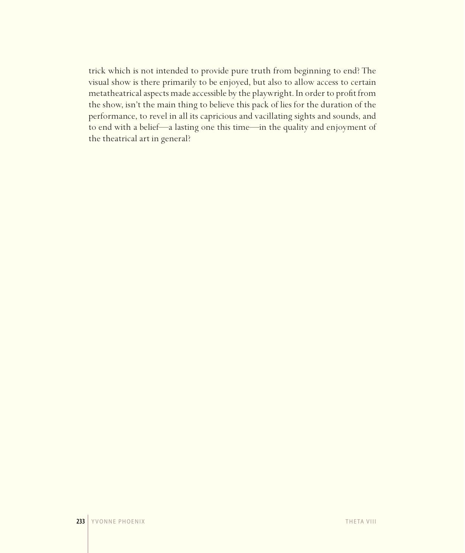trick which is not intended to provide pure truth from beginning to end? The visual show is there primarily to be enjoyed, but also to allow access to certain metatheatrical aspects made accessible by the playwright. In order to profit from the show, isn't the main thing to believe this pack of lies for the duration of the performance, to revel in all its capricious and vacillating sights and sounds, and to end with a belief—a lasting one this time—in the quality and enjoyment of the theatrical art in general?